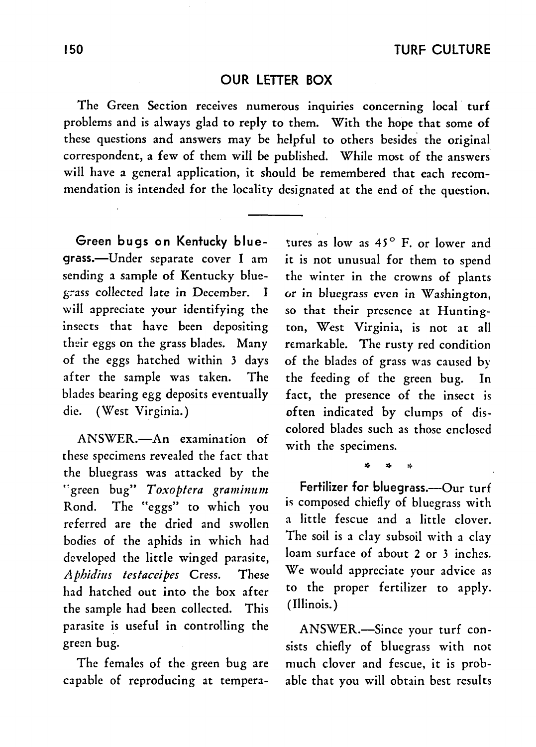## OUR LETTER BOX

The Green Section receives numerous inquiries concerning local turf problems and is always glad to reply to them. With the hope that some of these questions and answers may be helpful to others besides the original correspondent, a few of them will be published. While most of the answers will have a general application, it should be remembered that each recommendation is intended for the locality designated at the end of the question.

Green bugs on Kentucky bluegrass.-Under separate cover I am sending a sample of Kentucky blueg:-ass collected late in December. I will appreciate your identifying the insects that have been depositing their eggs on the grass blades. Many of the eggs hatched within 3 days after the sample was taken. The blades bearing egg deposits eventually die. (West Virginia.)

ANSWER.-An examination of these specimens revealed the fact that the bluegrass was attacked by the "green bug" Toxoptera graminum Rond. The "eggs" to which you referred are the dried and swollen bodies of the aphids in which had developed the little winged parasite, *Aphidius testaceipes* Cress. These had hatched out into the box after the sample had been collected. This parasite is useful in controlling the green bug.

The females of the. green bug are capable of reproducing at tempera-

tures as low as  $45^{\circ}$  F. or lower and it is not unusual for them to spend the winter in the crowns of plants or in bluegrass even in Washington, so that their presence at Huntington, West Virginia, is not at all remarkable. The rusty red condition of the blades of grass was caused by the feeding of the green bug. In fact, the presence of the insect is often indicated by clumps of discolored blades such as those enclosed with the specimens.

Fertilizer for bluegrass.---Our turf is composed chiefly of bluegrass with a little fescue and a little clover. The soil is a clay subsoil with a clay loam surface of about 2 or 3 inches. We would appreciate your advice as to the proper fertilizer to apply. (Illinois. )

\* \* \*

ANSWER.-Since your turf consists chiefly of bluegrass with not much clover and fescue, it is probable that you will obtain best results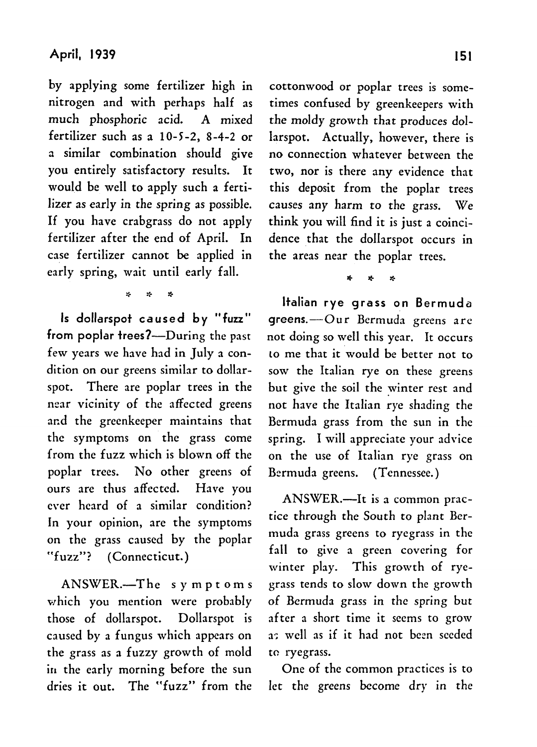by applying some fertilizer high in nitrogen and with perhaps half as much phosphoric acid. A mixed fertilizer such as a  $10-5-2$ , 8-4-2 or a similar combination should give you entirely satisfactory results. It would be well to apply such a fertilizer as early in the spring as possible. If you have crabgrass do not apply fertilizer after the end of April. In case fertilizer cannot be applied in early spring, wait until early fall.

\* \* \*

Is dollarspot caused by "fuzz" from poplar trees?-During the past few years we have had in July a condition on our greens similar to dollarspot. There are poplar trees in the near vicinity of the affected greens and the greenkeeper maintains that the symptoms on the grass come from the fuzz which is blown off the poplar trees. No other greens of ours are thus affected. Have you eyer heard of a similar condition? In your opinion, are the symptoms on the grass caused by the poplar "fuzz"? (Connecticut.)

ANSWER.-The symptoms which you mention were probably those of dollarspot. Dollarspot is caused by a fungus which appears on the grass as a fuzzy growth of mold in the early morning before the sun dries it out. The "fuzz" from the cottonwood or poplar trees is sometimes confused by greenkeepers with the moldy growth that produces dollarspot. Actually, however, there is no connection whatever between the two, nor is there any evidence that this deposit from the poplar trees causes any harm to the grass. We think you will find it is just a coincidence that the dollarspot occurs in the areas near the poplar trees.

\* \* \*<br>.

Italian rye grass on Bermuda greens.-Our Bermuda greens are not doing so well this year. It occurs LO me that it would be better not to sow the Italian rye on these greens but give the soil the winter rest and not have the Italian rye shading the Bermuda grass from the sun in the spring. I will appreciate your advice on the use of Italian rye grass on Bermuda greens. (Tennessee.)

ANSWER.-It is a common practice through the South to plant Bermuda grass greens to ryegrass in the fall to give a green covering for winter play. This growth of ryegrass tends to slow down the growth of Bermuda grass in the spring but after a short time it seems to grow a: well as if it had not been seeded to ryegrass.

One of the common practices is to let the greens become dry in the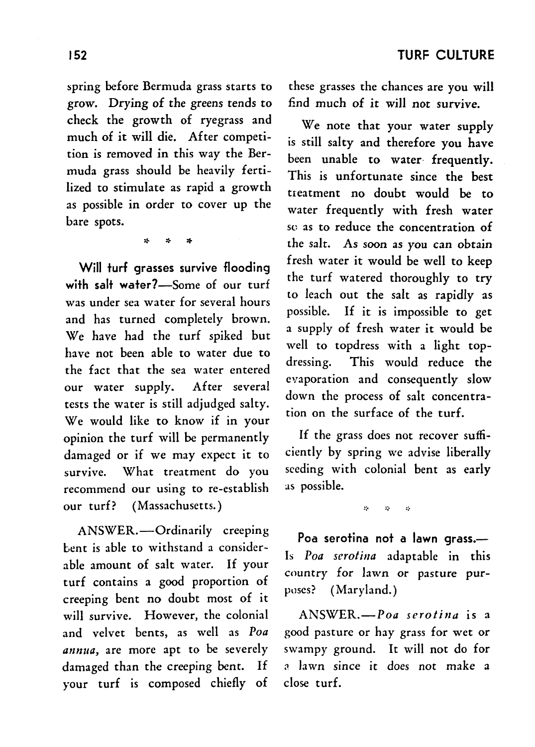spring before Bermuda grass starts to grow. Drying of the greens tends to check the growth of ryegrass and much of it will die. After competition is removed in this way the Bermuda grass should be heavily fertilized to stimulate as rapid a growth as possible in order to cover up the bare spots.

\* \* \*

Will turf grasses survive flooding with salt water?-Some of our turf was under sea water for several hours and has turned completely brown. We have had the turf spiked but have not been able to water due to the fact that the sea water entered our water supply. After several tests the water is still adjudged salty. We would like to know if in your opinion the turf will be permanently damaged or if we may expect it to survive. What treatment do you recommend our using to re-establish our turf? (Massachusetts.)

ANSWER.-Ordinarily creeping bent is able to withstand a considerable amount of salt water. If your turf contains a good proportion of creeping bent no doubt most of it will survive. However, the colonial and velvet bents, as well as *Poa annua*, are more apt to be severely damaged than the creeping bent. If your turf is composed chiefly of these grasses the chances are you will find much of it will not survive.

We note that your water supply is still salty and therefore you have been unable to water frequently. This is unfortunate since the best treatment no doubt would be to water frequently with fresh water se as to reduce the concentration of the salt. As soon as you can obtain fresh water it would be well to keep the turf watered thoroughly to try to leach out the salt as rapidly as possible. If it is impossible to get a supply of fresh water it would be well to topdress with a light topdressing. This would reduce the evaporation and consequently slow down the process of salt concentration on the surface of the turf.

If the grass does not recover sufficiently by spring we advise liberally seeding with colonial bent as early as possible.

> $\mathbf{r}_i$  $\dot{\mathbf{z}}$ √.

Poa serotina not a lawn grass.-Is *Poa serotina* adaptable in this country for lawn or pasture purposes? (Maryland.)

ANSWER.-Poa *serafina* is a good pasture or hay grass for wet or swampy ground. It will not do for ;1 lawn since it does not make a close turf.